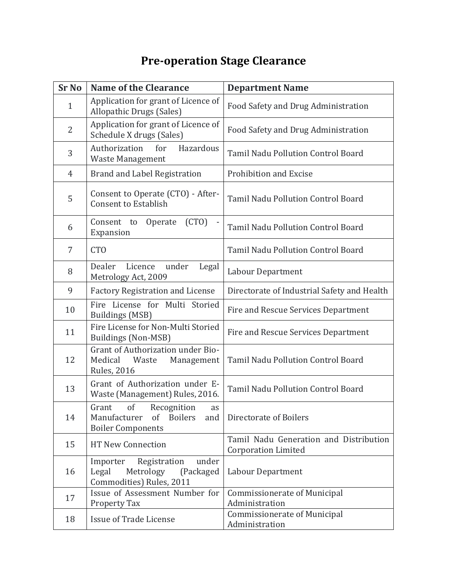## **Pre-operation Stage Clearance**

| <b>Sr No</b>   | <b>Name of the Clearance</b>                                                                                | <b>Department Name</b>                                               |
|----------------|-------------------------------------------------------------------------------------------------------------|----------------------------------------------------------------------|
| $\mathbf{1}$   | Application for grant of Licence of<br><b>Allopathic Drugs (Sales)</b>                                      | Food Safety and Drug Administration                                  |
| $\overline{2}$ | Application for grant of Licence of<br>Schedule X drugs (Sales)                                             | Food Safety and Drug Administration                                  |
| 3              | Authorization<br>for<br>Hazardous<br>Waste Management                                                       | <b>Tamil Nadu Pollution Control Board</b>                            |
| $\overline{4}$ | <b>Brand and Label Registration</b>                                                                         | Prohibition and Excise                                               |
| 5              | Consent to Operate (CTO) - After-<br><b>Consent to Establish</b>                                            | Tamil Nadu Pollution Control Board                                   |
| 6              | (CTO)<br>Operate<br>Consent to<br>Expansion                                                                 | <b>Tamil Nadu Pollution Control Board</b>                            |
| $\overline{7}$ | <b>CTO</b>                                                                                                  | Tamil Nadu Pollution Control Board                                   |
| 8              | Dealer<br>Licence<br>under<br>Legal<br>Metrology Act, 2009                                                  | Labour Department                                                    |
| 9              | <b>Factory Registration and License</b>                                                                     | Directorate of Industrial Safety and Health                          |
| 10             | Fire License for Multi Storied<br><b>Buildings (MSB)</b>                                                    | Fire and Rescue Services Department                                  |
| 11             | Fire License for Non-Multi Storied<br>Buildings (Non-MSB)                                                   | Fire and Rescue Services Department                                  |
| 12             | Grant of Authorization under Bio-<br>Medical<br>Waste<br>Management<br><b>Rules, 2016</b>                   | Tamil Nadu Pollution Control Board                                   |
| 13             | Grant of Authorization under E-<br>Waste (Management) Rules, 2016.                                          | Tamil Nadu Pollution Control Board                                   |
| 14             | of<br>Recognition<br>Grant<br>as<br>Manufacturer<br><b>Boilers</b><br>of<br>and<br><b>Boiler Components</b> | Directorate of Boilers                                               |
| 15             | <b>HT New Connection</b>                                                                                    | Tamil Nadu Generation and Distribution<br><b>Corporation Limited</b> |
| 16             | Registration<br>Importer<br>under<br>Legal<br>Metrology<br>(Packaged<br>Commodities) Rules, 2011            | Labour Department                                                    |
| 17             | Issue of Assessment Number for<br>Property Tax                                                              | <b>Commissionerate of Municipal</b><br>Administration                |
| 18             | <b>Issue of Trade License</b>                                                                               | <b>Commissionerate of Municipal</b><br>Administration                |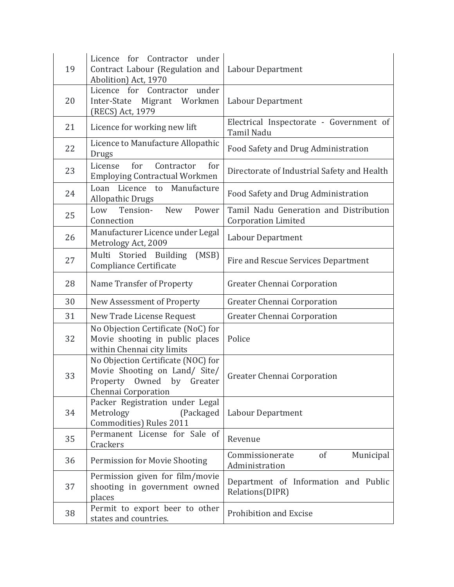| 19 | Licence for Contractor under<br>Contract Labour (Regulation and<br>Abolition) Act, 1970                                          | Labour Department                                                    |
|----|----------------------------------------------------------------------------------------------------------------------------------|----------------------------------------------------------------------|
| 20 | Licence for Contractor under<br>Inter-State<br>Migrant Workmen<br>(RECS) Act, 1979                                               | Labour Department                                                    |
| 21 | Licence for working new lift                                                                                                     | Electrical Inspectorate - Government of<br>Tamil Nadu                |
| 22 | Licence to Manufacture Allopathic<br>Drugs                                                                                       | Food Safety and Drug Administration                                  |
| 23 | Contractor<br>License<br>for<br>for<br><b>Employing Contractual Workmen</b>                                                      | Directorate of Industrial Safety and Health                          |
| 24 | Licence to<br>Loan<br>Manufacture<br><b>Allopathic Drugs</b>                                                                     | Food Safety and Drug Administration                                  |
| 25 | Power<br>Tension-<br><b>New</b><br>Low<br>Connection                                                                             | Tamil Nadu Generation and Distribution<br><b>Corporation Limited</b> |
| 26 | Manufacturer Licence under Legal<br>Metrology Act, 2009                                                                          | Labour Department                                                    |
| 27 | Multi<br>Storied Building<br>(MSB)<br>Compliance Certificate                                                                     | Fire and Rescue Services Department                                  |
| 28 | Name Transfer of Property                                                                                                        | Greater Chennai Corporation                                          |
| 30 | New Assessment of Property                                                                                                       | Greater Chennai Corporation                                          |
| 31 | New Trade License Request                                                                                                        | <b>Greater Chennai Corporation</b>                                   |
| 32 | No Objection Certificate (NoC) for<br>Movie shooting in public places<br>within Chennai city limits                              | Police                                                               |
| 33 | No Objection Certificate (NOC) for<br>Movie Shooting on Land/ Site/<br>by<br>Owned<br>Property<br>Greater<br>Chennai Corporation | Greater Chennai Corporation                                          |
| 34 | Packer Registration under Legal<br>Metrology<br>(Packaged)<br>Commodities) Rules 2011                                            | Labour Department                                                    |
| 35 | Permanent License for Sale of<br>Crackers                                                                                        | Revenue                                                              |
| 36 | Permission for Movie Shooting                                                                                                    | Commissionerate<br>of<br>Municipal<br>Administration                 |
| 37 | Permission given for film/movie<br>shooting in government owned<br>places                                                        | Department of Information and Public<br>Relations(DIPR)              |
| 38 | Permit to export beer to other<br>states and countries.                                                                          | Prohibition and Excise                                               |